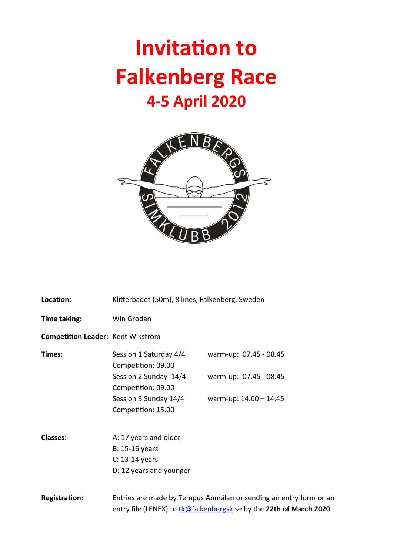## **Invitation to Falkenberg Race 4-5 April 2020**



| Location:                         | Klitterbadet (50m), 8 lines, Falkenberg, Sweden                                                                                         |                        |  |
|-----------------------------------|-----------------------------------------------------------------------------------------------------------------------------------------|------------------------|--|
| Time taking:                      | Win Grodan                                                                                                                              |                        |  |
| Competition Leader: Kent Wikström |                                                                                                                                         |                        |  |
| Times:                            | Session 1 Saturday 4/4<br>Competition: 09.00                                                                                            | warm-up: 07.45 - 08.45 |  |
|                                   | Session 2 Sunday 14/4<br>Competition: 09.00                                                                                             | warm-up: 07.45 - 08.45 |  |
|                                   | Session 3 Sunday 14/4<br>Competition: 15.00                                                                                             | warm-up: 14.00 - 14.45 |  |
| <b>Classes:</b>                   | A: 17 years and older                                                                                                                   |                        |  |
|                                   | B: 15-16 years                                                                                                                          |                        |  |
|                                   | C: 13-14 years                                                                                                                          |                        |  |
|                                   | D: 12 years and younger                                                                                                                 |                        |  |
| <b>Registration:</b>              | Entries are made by Tempus Anmälan or sending an entry form or an<br>entry file (LENEX) to tk@falkenbergsk.se by the 22th of March 2020 |                        |  |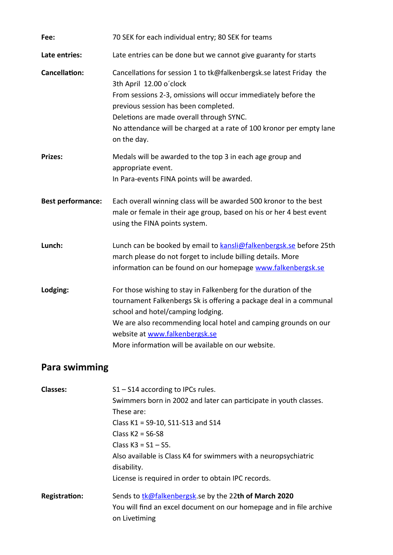| Fee:                     | 70 SEK for each individual entry; 80 SEK for teams                                                                                                                                                                                                                                                                                          |  |
|--------------------------|---------------------------------------------------------------------------------------------------------------------------------------------------------------------------------------------------------------------------------------------------------------------------------------------------------------------------------------------|--|
| Late entries:            | Late entries can be done but we cannot give guaranty for starts                                                                                                                                                                                                                                                                             |  |
| <b>Cancellation:</b>     | Cancellations for session 1 to tk@falkenbergsk.se latest Friday the<br>3th April 12.00 o'clock<br>From sessions 2-3, omissions will occur immediately before the<br>previous session has been completed.<br>Deletions are made overall through SYNC.<br>No attendance will be charged at a rate of 100 kronor per empty lane<br>on the day. |  |
| <b>Prizes:</b>           | Medals will be awarded to the top 3 in each age group and<br>appropriate event.<br>In Para-events FINA points will be awarded.                                                                                                                                                                                                              |  |
| <b>Best performance:</b> | Each overall winning class will be awarded 500 kronor to the best<br>male or female in their age group, based on his or her 4 best event<br>using the FINA points system.                                                                                                                                                                   |  |
| Lunch:                   | Lunch can be booked by email to kansli@falkenbergsk.se before 25th<br>march please do not forget to include billing details. More<br>information can be found on our homepage www.falkenbergsk.se                                                                                                                                           |  |
| Lodging:                 | For those wishing to stay in Falkenberg for the duration of the<br>tournament Falkenbergs Sk is offering a package deal in a communal<br>school and hotel/camping lodging.<br>We are also recommending local hotel and camping grounds on our                                                                                               |  |

## **Para swimming**

| <b>Classes:</b>      | $S1 - S14$ according to IPCs rules.                                 |  |  |  |
|----------------------|---------------------------------------------------------------------|--|--|--|
|                      | Swimmers born in 2002 and later can participate in youth classes.   |  |  |  |
|                      | These are:                                                          |  |  |  |
|                      | Class K1 = S9-10, S11-S13 and S14                                   |  |  |  |
|                      | Class $K2 = S6-S8$                                                  |  |  |  |
|                      | Class $K3 = S1 - S5$ .                                              |  |  |  |
|                      | Also available is Class K4 for swimmers with a neuropsychiatric     |  |  |  |
|                      | disability.                                                         |  |  |  |
|                      | License is required in order to obtain IPC records.                 |  |  |  |
| <b>Registration:</b> | Sends to tk@falkenbergsk.se by the 22th of March 2020               |  |  |  |
|                      | You will find an excel document on our homepage and in file archive |  |  |  |
|                      | on Livetiming                                                       |  |  |  |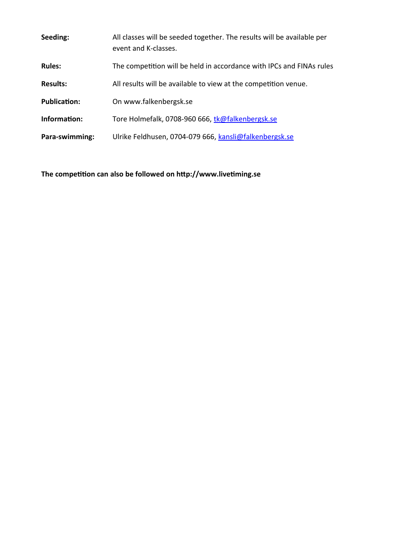| Seeding:            | All classes will be seeded together. The results will be available per<br>event and K-classes. |  |
|---------------------|------------------------------------------------------------------------------------------------|--|
| <b>Rules:</b>       | The competition will be held in accordance with IPCs and FINAs rules                           |  |
| <b>Results:</b>     | All results will be available to view at the competition venue.                                |  |
| <b>Publication:</b> | On www.falkenbergsk.se                                                                         |  |
| Information:        | Tore Holmefalk, 0708-960 666, tk@falkenbergsk.se                                               |  |
| Para-swimming:      | Ulrike Feldhusen, 0704-079 666, kansli@falkenbergsk.se                                         |  |

**The competition can also be followed on http://www.livetiming.se**